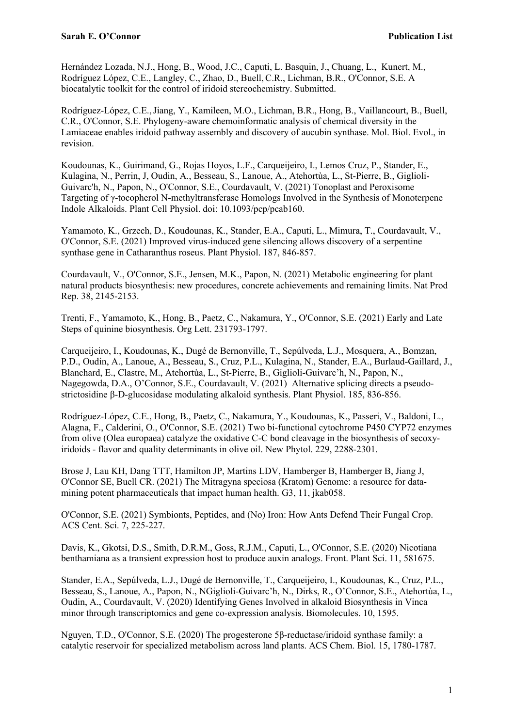Hernández Lozada, N.J., Hong, B., Wood, J.C., Caputi, L. Basquin, J., Chuang, L., Kunert, M., Rodríguez López, C.E., Langley, C., Zhao, D., Buell,C.R., Lichman, B.R., O'Connor, S.E. A biocatalytic toolkit for the control of iridoid stereochemistry. Submitted.

Rodríguez-López, C.E.,Jiang, Y., Kamileen, M.O., Lichman, B.R., Hong, B., Vaillancourt, B., Buell, C.R., O'Connor, S.E. Phylogeny-aware chemoinformatic analysis of chemical diversity in the Lamiaceae enables iridoid pathway assembly and discovery of aucubin synthase. Mol. Biol. Evol., in revision.

Koudounas, K., Guirimand, G., Rojas Hoyos, L.F., Carqueijeiro, I., Lemos Cruz, P., Stander, E., Kulagina, N., Perrin, J, Oudin, A., Besseau, S., Lanoue, A., Atehortùa, L., St-Pierre, B., Giglioli-Guivarc'h, N., Papon, N., O'Connor, S.E., Courdavault, V. (2021) Tonoplast and Peroxisome Targeting of γ-tocopherol N-methyltransferase Homologs Involved in the Synthesis of Monoterpene Indole Alkaloids. Plant Cell Physiol. doi: 10.1093/pcp/pcab160.

Yamamoto, K., Grzech, D., Koudounas, K., Stander, E.A., Caputi, L., Mimura, T., Courdavault, V., O'Connor, S.E. (2021) Improved virus-induced gene silencing allows discovery of a serpentine synthase gene in Catharanthus roseus. Plant Physiol. 187, 846-857.

Courdavault, V., O'Connor, S.E., Jensen, M.K., Papon, N. (2021) Metabolic engineering for plant natural products biosynthesis: new procedures, concrete achievements and remaining limits. Nat Prod Rep. 38, 2145-2153.

Trenti, F., Yamamoto, K., Hong, B., Paetz, C., Nakamura, Y., O'Connor, S.E. (2021) Early and Late Steps of quinine biosynthesis. Org Lett. 231793-1797.

Carqueijeiro, I., Koudounas, K., Dugé de Bernonville, T., Sepúlveda, L.J., Mosquera, A., Bomzan, P.D., Oudin, A., Lanoue, A., Besseau, S., Cruz, P.L., Kulagina, N., Stander, E.A., Burlaud-Gaillard, J., Blanchard, E., Clastre, M., Atehortùa, L., St-Pierre, B., Giglioli-Guivarc'h, N., Papon, N., Nagegowda, D.A., O'Connor, S.E., Courdavault, V. (2021) Alternative splicing directs a pseudostrictosidine β-D-glucosidase modulating alkaloid synthesis. Plant Physiol. 185, 836-856.

Rodríguez-López, C.E., Hong, B., Paetz, C., Nakamura, Y., Koudounas, K., Passeri, V., Baldoni, L., Alagna, F., Calderini, O., O'Connor, S.E. (2021) Two bi-functional cytochrome P450 CYP72 enzymes from olive (Olea europaea) catalyze the oxidative C-C bond cleavage in the biosynthesis of secoxyiridoids - flavor and quality determinants in olive oil. New Phytol. 229, 2288-2301.

Brose J, Lau KH, Dang TTT, Hamilton JP, Martins LDV, Hamberger B, Hamberger B, Jiang J, O'Connor SE, Buell CR. (2021) The Mitragyna speciosa (Kratom) Genome: a resource for datamining potent pharmaceuticals that impact human health. G3, 11, jkab058.

O'Connor, S.E. (2021) Symbionts, Peptides, and (No) Iron: How Ants Defend Their Fungal Crop. ACS Cent. Sci. 7, 225-227.

Davis, K., Gkotsi, D.S., Smith, D.R.M., Goss, R.J.M., Caputi, L., O'Connor, S.E. (2020) Nicotiana benthamiana as a transient expression host to produce auxin analogs. Front. Plant Sci. 11, 581675.

Stander, E.A., Sepúlveda, L.J., Dugé de Bernonville, T., Carqueijeiro, I., Koudounas, K., Cruz, P.L., Besseau, S., Lanoue, A., Papon, N., NGiglioli-Guivarc'h, N., Dirks, R., O'Connor, S.E., Atehortùa, L., Oudin, A., Courdavault, V. (2020) Identifying Genes Involved in alkaloid Biosynthesis in Vinca minor through transcriptomics and gene co-expression analysis. Biomolecules. 10, 1595.

Nguyen, T.D., O'Connor, S.E. (2020) The progesterone 5β-reductase/iridoid synthase family: a catalytic reservoir for specialized metabolism across land plants. ACS Chem. Biol. 15, 1780-1787.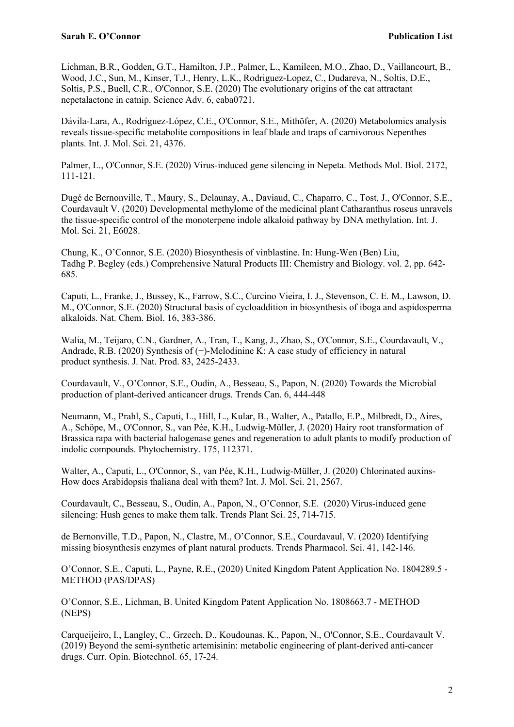Lichman, B.R., Godden, G.T., Hamilton, J.P., Palmer, L., Kamileen, M.O., Zhao, D., Vaillancourt, B., Wood, J.C., Sun, M., Kinser, T.J., Henry, L.K., Rodriguez-Lopez, C., Dudareva, N., Soltis, D.E., Soltis, P.S., Buell, C.R., O'Connor, S.E. (2020) The evolutionary origins of the cat attractant nepetalactone in catnip. Science Adv. 6, eaba0721.

Dávila-Lara, A., Rodríguez-López, C.E., O'Connor, S.E., Mithöfer, A. (2020) Metabolomics analysis reveals tissue-specific metabolite compositions in leaf blade and traps of carnivorous Nepenthes plants. Int. J. Mol. Sci. 21, 4376.

Palmer, L., O'Connor, S.E. (2020) Virus-induced gene silencing in Nepeta. Methods Mol. Biol. 2172, 111-121.

Dugé de Bernonville, T., Maury, S., Delaunay, A., Daviaud, C., Chaparro, C., Tost, J., O'Connor, S.E., Courdavault V. (2020) Developmental methylome of the medicinal plant Catharanthus roseus unravels the tissue-specific control of the monoterpene indole alkaloid pathway by DNA methylation. Int. J. Mol. Sci. 21, E6028.

Chung, K., O'Connor, S.E. (2020) Biosynthesis of vinblastine. In: Hung-Wen (Ben) Liu, Tadhg P. Begley (eds.) Comprehensive Natural Products III: Chemistry and Biology. vol. 2, pp. 642- 685.

Caputi, L., Franke, J., Bussey, K., Farrow, S.C., Curcino Vieira, I. J., Stevenson, C. E. M., Lawson, D. M., O'Connor, S.E. (2020) Structural basis of cycloaddition in biosynthesis of iboga and aspidosperma alkaloids. Nat. Chem. Biol. 16, 383-386.

Walia, M., Teijaro, C.N., Gardner, A., Tran, T., Kang, J., Zhao, S., O'Connor, S.E., Courdavault, V., Andrade, R.B. (2020) Synthesis of (−)-Melodinine K: A case study of efficiency in natural product synthesis. J. Nat. Prod. 83, 2425-2433.

Courdavault, V., O'Connor, S.E., Oudin, A., Besseau, S., Papon, N. (2020) Towards the Microbial production of plant-derived anticancer drugs. Trends Can. 6, 444-448

Neumann, M., Prahl, S., Caputi, L., Hill, L., Kular, B., Walter, A., Patallo, E.P., Milbredt, D., Aires, A., Schöpe, M., O'Connor, S., van Pée, K.H., Ludwig-Müller, J. (2020) Hairy root transformation of Brassica rapa with bacterial halogenase genes and regeneration to adult plants to modify production of indolic compounds. Phytochemistry. 175, 112371.

Walter, A., Caputi, L., O'Connor, S., van Pée, K.H., Ludwig-Müller, J. (2020) Chlorinated auxins-How does Arabidopsis thaliana deal with them? Int. J. Mol. Sci. 21, 2567.

Courdavault, C., Besseau, S., Oudin, A., Papon, N., O'Connor, S.E. (2020) Virus-induced gene silencing: Hush genes to make them talk. Trends Plant Sci. 25, 714-715.

de Bernonville, T.D., Papon, N., Clastre, M., O'Connor, S.E., Courdavaul, V. (2020) Identifying missing biosynthesis enzymes of plant natural products. Trends Pharmacol. Sci. 41, 142-146.

O'Connor, S.E., Caputi, L., Payne, R.E., (2020) United Kingdom Patent Application No. 1804289.5 - METHOD (PAS/DPAS)

O'Connor, S.E., Lichman, B. United Kingdom Patent Application No. 1808663.7 - METHOD (NEPS)

Carqueijeiro, I., Langley, C., Grzech, D., Koudounas, K., Papon, N., O'Connor, S.E., Courdavault V. (2019) Beyond the semi-synthetic artemisinin: metabolic engineering of plant-derived anti-cancer drugs. Curr. Opin. Biotechnol. 65, 17-24.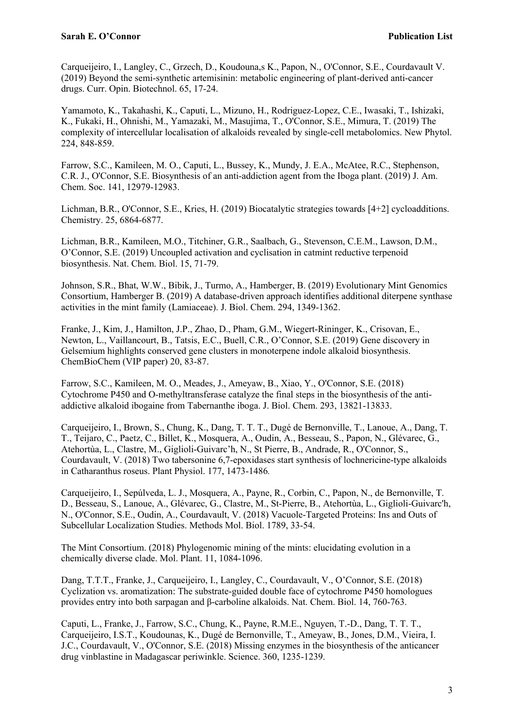Carqueijeiro, I., Langley, C., Grzech, D., Koudouna,s K., Papon, N., O'Connor, S.E., Courdavault V. (2019) Beyond the semi-synthetic artemisinin: metabolic engineering of plant-derived anti-cancer drugs. Curr. Opin. Biotechnol. 65, 17-24.

Yamamoto, K., Takahashi, K., Caputi, L., Mizuno, H., Rodriguez-Lopez, C.E., Iwasaki, T., Ishizaki, K., Fukaki, H., Ohnishi, M., Yamazaki, M., Masujima, T., O'Connor, S.E., Mimura, T. (2019) The complexity of intercellular localisation of alkaloids revealed by single-cell metabolomics. New Phytol. 224, 848-859.

Farrow, S.C., Kamileen, M. O., Caputi, L., Bussey, K., Mundy, J. E.A., McAtee, R.C., Stephenson, C.R. J., O'Connor, S.E. Biosynthesis of an anti-addiction agent from the Iboga plant. (2019) J. Am. Chem. Soc. 141, 12979-12983.

Lichman, B.R., O'Connor, S.E., Kries, H. (2019) Biocatalytic strategies towards [4+2] cycloadditions. Chemistry. 25, 6864-6877.

Lichman, B.R., Kamileen, M.O., Titchiner, G.R., Saalbach, G., Stevenson, C.E.M., Lawson, D.M., O'Connor, S.E. (2019) Uncoupled activation and cyclisation in catmint reductive terpenoid biosynthesis. Nat. Chem. Biol. 15, 71-79.

Johnson, S.R., Bhat, W.W., Bibik, J., Turmo, A., Hamberger, B. (2019) Evolutionary Mint Genomics Consortium, Hamberger B. (2019) A database-driven approach identifies additional diterpene synthase activities in the mint family (Lamiaceae). J. Biol. Chem. 294, 1349-1362.

Franke, J., Kim, J., Hamilton, J.P., Zhao, D., Pham, G.M., Wiegert-Rininger, K., Crisovan, E., Newton, L., Vaillancourt, B., Tatsis, E.C., Buell, C.R., O'Connor, S.E. (2019) Gene discovery in Gelsemium highlights conserved gene clusters in monoterpene indole alkaloid biosynthesis. ChemBioChem (VIP paper) 20, 83-87.

Farrow, S.C., Kamileen, M. O., Meades, J., Ameyaw, B., Xiao, Y., O'Connor, S.E. (2018) Cytochrome P450 and O-methyltransferase catalyze the final steps in the biosynthesis of the antiaddictive alkaloid ibogaine from Tabernanthe iboga. J. Biol. Chem. 293, 13821-13833.

Carqueijeiro, I., Brown, S., Chung, K., Dang, T. T. T., Dugé de Bernonville, T., Lanoue, A., Dang, T. T., Teijaro, C., Paetz, C., Billet, K., Mosquera, A., Oudin, A., Besseau, S., Papon, N., Glévarec, G., Atehortùa, L., Clastre, M., Giglioli-Guivarc'h, N., St Pierre, B., Andrade, R., O'Connor, S., Courdavault, V. (2018) Two tabersonine 6,7-epoxidases start synthesis of lochnericine-type alkaloids in Catharanthus roseus. Plant Physiol. 177, 1473-1486*.*

Carqueijeiro, I., Sepúlveda, L. J., Mosquera, A., Payne, R., Corbin, C., Papon, N., de Bernonville, T. D., Besseau, S., Lanoue, A., Glévarec, G., Clastre, M., St-Pierre, B., Atehortùa, L., Giglioli-Guivarc'h, N., O'Connor, S.E., Oudin, A., Courdavault, V. (2018) Vacuole-Targeted Proteins: Ins and Outs of Subcellular Localization Studies. Methods Mol. Biol. 1789, 33-54.

The Mint Consortium. (2018) Phylogenomic mining of the mints: elucidating evolution in a chemically diverse clade. Mol. Plant. 11, 1084-1096.

Dang, T.T.T., Franke, J., Carqueijeiro, I., Langley, C., Courdavault, V., O'Connor, S.E. (2018) Cyclization vs. aromatization: The substrate-guided double face of cytochrome P450 homologues provides entry into both sarpagan and β-carboline alkaloids. Nat. Chem. Biol. 14, 760-763.

Caputi, L., Franke, J., Farrow, S.C., Chung, K., Payne, R.M.E., Nguyen, T.-D., Dang, T. T. T., Carqueijeiro, I.S.T., Koudounas, K., Dugé de Bernonville, T., Ameyaw, B., Jones, D.M., Vieira, I. J.C., Courdavault, V., O'Connor, S.E. (2018) Missing enzymes in the biosynthesis of the anticancer drug vinblastine in Madagascar periwinkle. Science. 360, 1235-1239.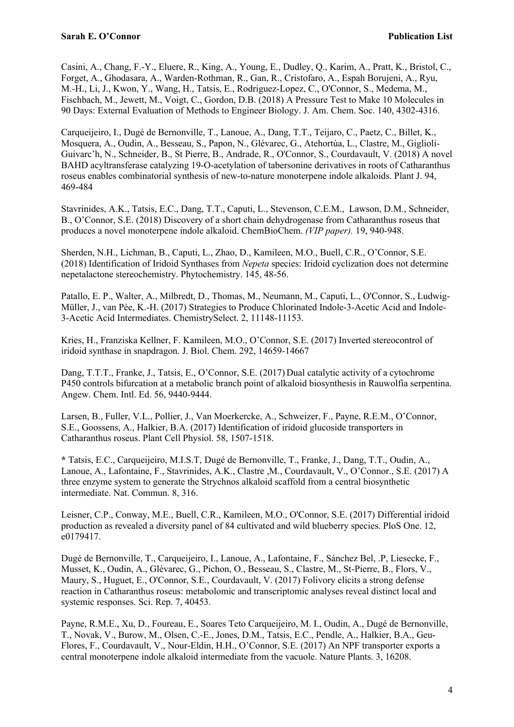Casini, A., Chang, F.-Y., Eluere, R., King, A., Young, E., Dudley, Q., Karim, A., Pratt, K., Bristol, C., Forget, A., Ghodasara, A., Warden-Rothman, R., Gan, R., Cristofaro, A., Espah Borujeni, A., Ryu, M.-H., Li, J., Kwon, Y., Wang, H., Tatsis, E., Rodriguez-Lopez, C., O'Connor, S., Medema, M., Fischbach, M., Jewett, M., Voigt, C., Gordon, D.B. (2018) A Pressure Test to Make 10 Molecules in 90 Days: External Evaluation of Methods to Engineer Biology. J. Am. Chem. Soc. 140, 4302-4316.

Carqueijeiro, I., Dugé de Bernonville, T., Lanoue, A., Dang, T.T., Teijaro, C., Paetz, C., Billet, K., Mosquera, A., Oudin, A., Besseau, S., Papon, N., Glévarec, G., Atehortùa, L., Clastre, M., Giglioli-Guivarc'h, N., Schneider, B., St Pierre, B., Andrade, R., O'Connor, S., Courdavault, V. (2018) A novel BAHD acyltransferase catalyzing 19-O-acetylation of tabersonine derivatives in roots of Catharanthus roseus enables combinatorial synthesis of new-to-nature monoterpene indole alkaloids. Plant J. 94, 469-484

Stavrinides, A.K., Tatsis, E.C., Dang, T.T., Caputi, L., Stevenson, C.E.M., Lawson, D.M., Schneider, B., O'Connor, S.E. (2018) Discovery of a short chain dehydrogenase from Catharanthus roseus that produces a novel monoterpene indole alkaloid. ChemBioChem. *(VIP paper).* 19, 940-948.

Sherden, N.H., Lichman, B., Caputi, L., Zhao, D., Kamileen, M.O., Buell, C.R., O'Connor, S.E.. (2018) Identification of Iridoid Synthases from *Nepeta* species: Iridoid cyclization does not determine nepetalactone stereochemistry. Phytochemistry. 145, 48-56.

Patallo, E. P., Walter, A., Milbredt, D., Thomas, M., Neumann, M., Caputi, L., O'Connor, S., Ludwig-Müller, J., van Pée, K.-H. (2017) Strategies to Produce Chlorinated Indole-3-Acetic Acid and Indole-3-Acetic Acid Intermediates. ChemistrySelect. 2, 11148-11153.

Kries, H., Franziska Kellner, F. Kamileen, M.O., O'Connor, S.E. (2017) Inverted stereocontrol of iridoid synthase in snapdragon. J. Biol. Chem. 292, 14659-14667

Dang, T.T.T., Franke, J., Tatsis, E., O'Connor, S.E. (2017) Dual catalytic activity of a cytochrome P450 controls bifurcation at a metabolic branch point of alkaloid biosynthesis in Rauwolfia serpentina. Angew. Chem. Intl. Ed. 56, 9440-9444.

Larsen, B., Fuller, V.L., Pollier, J., Van Moerkercke, A., Schweizer, F., Payne, R.E.M., O'Connor, S.E., Goossens, A., Halkier, B.A. (2017) Identification of iridoid glucoside transporters in Catharanthus roseus. Plant Cell Physiol. 58, 1507-1518.

**\*** Tatsis, E.C., Carqueijeiro, M.I.S.T, Dugé de Bernonville, T., Franke, J., Dang, T.T., Oudin, A., Lanoue, A., Lafontaine, F., Stavrinides, A.K., Clastre ,M., Courdavault, V., O'Connor., S.E. (2017) A three enzyme system to generate the Strychnos alkaloid scaffold from a central biosynthetic intermediate. Nat. Commun. 8, 316.

Leisner, C.P., Conway, M.E., Buell, C.R., Kamileen, M.O., O'Connor, S.E. (2017) Differential iridoid production as revealed a diversity panel of 84 cultivated and wild blueberry species. PloS One. 12, e0179417.

Dugé de Bernonville, T., Carqueijeiro, I., Lanoue, A., Lafontaine, F., Sánchez Bel, .P, Liesecke, F., Musset, K., Oudin, A., Glévarec, G., Pichon, O., Besseau, S., Clastre, M., St-Pierre, B., Flors, V., Maury, S., Huguet, E., O'Connor, S.E., Courdavault, V. (2017) Folivory elicits a strong defense reaction in Catharanthus roseus: metabolomic and transcriptomic analyses reveal distinct local and systemic responses. Sci. Rep. 7, 40453.

Payne, R.M.E., Xu, D., Foureau, E., Soares Teto Carqueijeiro, M. I., Oudin, A., Dugé de Bernonville, T., Novak, V., Burow, M., Olsen, C.-E., Jones, D.M., Tatsis, E.C., Pendle, A., Halkier, B.A., Geu-Flores, F., Courdavault, V., Nour-Eldin, H.H., O'Connor, S.E. (2017) An NPF transporter exports a central monoterpene indole alkaloid intermediate from the vacuole. Nature Plants. 3, 16208.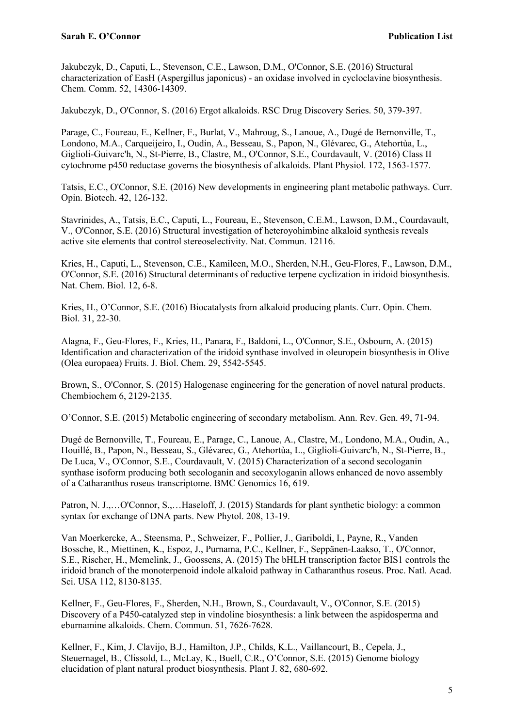Jakubczyk, D., Caputi, L., Stevenson, C.E., Lawson, D.M., O'Connor, S.E. (2016) Structural characterization of EasH (Aspergillus japonicus) - an oxidase involved in cycloclavine biosynthesis. Chem. Comm. 52, 14306-14309.

Jakubczyk, D., O'Connor, S. (2016) Ergot alkaloids. RSC Drug Discovery Series. 50, 379-397.

Parage, C., Foureau, E., Kellner, F., Burlat, V., Mahroug, S., Lanoue, A., Dugé de Bernonville, T., Londono, M.A., Carqueijeiro, I., Oudin, A., Besseau, S., Papon, N., Glévarec, G., Atehortùa, L., Giglioli-Guivarc'h, N., St-Pierre, B., Clastre, M., O'Connor, S.E., Courdavault, V. (2016) Class II cytochrome p450 reductase governs the biosynthesis of alkaloids. Plant Physiol. 172, 1563-1577.

Tatsis, E.C., O'Connor, S.E. (2016) New developments in engineering plant metabolic pathways. Curr. Opin. Biotech. 42, 126-132.

Stavrinides, A., Tatsis, E.C., Caputi, L., Foureau, E., Stevenson, C.E.M., Lawson, D.M., Courdavault, V., O'Connor, S.E. (2016) Structural investigation of heteroyohimbine alkaloid synthesis reveals active site elements that control stereoselectivity. Nat. Commun. 12116.

Kries, H., Caputi, L., Stevenson, C.E., Kamileen, M.O., Sherden, N.H., Geu-Flores, F., Lawson, D.M., O'Connor, S.E. (2016) Structural determinants of reductive terpene cyclization in iridoid biosynthesis. Nat. Chem. Biol. 12, 6-8.

Kries, H., O'Connor, S.E. (2016) Biocatalysts from alkaloid producing plants. Curr. Opin. Chem. Biol. 31, 22-30.

Alagna, F., Geu-Flores, F., Kries, H., Panara, F., Baldoni, L., O'Connor, S.E., Osbourn, A. (2015) Identification and characterization of the iridoid synthase involved in oleuropein biosynthesis in Olive (Olea europaea) Fruits. J. Biol. Chem. 29, 5542-5545.

Brown, S., O'Connor, S. (2015) Halogenase engineering for the generation of novel natural products. Chembiochem 6, 2129-2135.

O'Connor, S.E. (2015) Metabolic engineering of secondary metabolism. Ann. Rev. Gen. 49, 71-94.

Dugé de Bernonville, T., Foureau, E., Parage, C., Lanoue, A., Clastre, M., Londono, M.A., Oudin, A., Houillé, B., Papon, N., Besseau, S., Glévarec, G., Atehortùa, L., Giglioli-Guivarc'h, N., St-Pierre, B., De Luca, V., O'Connor, S.E., Courdavault, V. (2015) Characterization of a second secologanin synthase isoform producing both secologanin and secoxyloganin allows enhanced de novo assembly of a Catharanthus roseus transcriptome. BMC Genomics 16, 619.

Patron, N. J.,...O'Connor, S.,...Haseloff, J. (2015) Standards for plant synthetic biology: a common syntax for exchange of DNA parts. New Phytol. 208, 13-19.

Van Moerkercke, A., Steensma, P., Schweizer, F., Pollier, J., Gariboldi, I., Payne, R., Vanden Bossche, R., Miettinen, K., Espoz, J., Purnama, P.C., Kellner, F., Seppänen-Laakso, T., O'Connor, S.E., Rischer, H., Memelink, J., Goossens, A. (2015) The bHLH transcription factor BIS1 controls the iridoid branch of the monoterpenoid indole alkaloid pathway in Catharanthus roseus. Proc. Natl. Acad. Sci. USA 112, 8130-8135.

Kellner, F., Geu-Flores, F., Sherden, N.H., Brown, S., Courdavault, V., O'Connor, S.E. (2015) Discovery of a P450-catalyzed step in vindoline biosynthesis: a link between the aspidosperma and eburnamine alkaloids. Chem. Commun. 51, 7626-7628.

Kellner, F., Kim, J. Clavijo, B.J., Hamilton, J.P., Childs, K.L., Vaillancourt, B., Cepela, J., Steuernagel, B., Clissold, L., McLay, K., Buell, C.R., O'Connor, S.E. (2015) Genome biology elucidation of plant natural product biosynthesis. Plant J. 82, 680-692.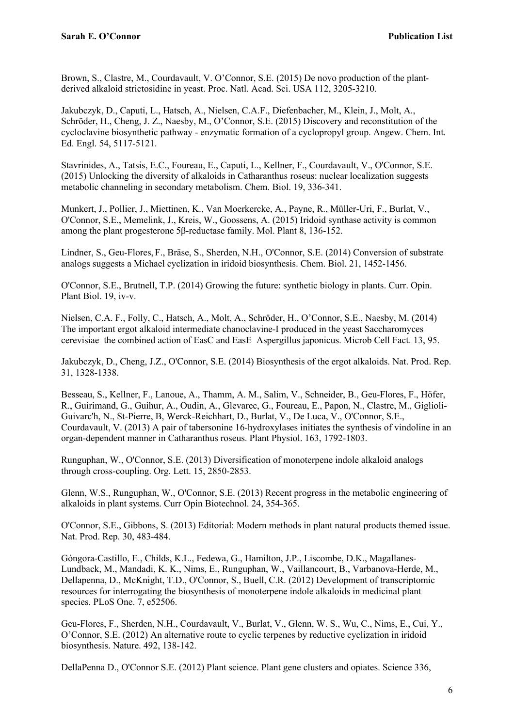Brown, S., Clastre, M., Courdavault, V. O'Connor, S.E. (2015) De novo production of the plantderived alkaloid strictosidine in yeast. Proc. Natl. Acad. Sci. USA 112, 3205-3210.

Jakubczyk, D., Caputi, L., Hatsch, A., Nielsen, C.A.F., Diefenbacher, M., Klein, J., Molt, A., Schröder, H., Cheng, J. Z., Naesby, M., O'Connor, S.E. (2015) Discovery and reconstitution of the cycloclavine biosynthetic pathway - enzymatic formation of a cyclopropyl group. Angew. Chem. Int. Ed. Engl. 54, 5117-5121.

Stavrinides, A., Tatsis, E.C., Foureau, E., Caputi, L., Kellner, F., Courdavault, V., O'Connor, S.E. (2015) Unlocking the diversity of alkaloids in Catharanthus roseus: nuclear localization suggests metabolic channeling in secondary metabolism. Chem. Biol. 19, 336-341.

Munkert, J., Pollier, J., Miettinen, K., Van Moerkercke, A., Payne, R., Müller-Uri, F., Burlat, V., O'Connor, S.E., Memelink, J., Kreis, W., Goossens, A. (2015) Iridoid synthase activity is common among the plant progesterone 5β-reductase family. Mol. Plant 8, 136-152.

Lindner, S., Geu-Flores, F., Bräse, S., Sherden, N.H., O'Connor, S.E. (2014) Conversion of substrate analogs suggests a Michael cyclization in iridoid biosynthesis. Chem. Biol. 21, 1452-1456.

O'Connor, S.E., Brutnell, T.P. (2014) Growing the future: synthetic biology in plants. Curr. Opin. Plant Biol. 19, iv-v.

Nielsen, C.A. F., Folly, C., Hatsch, A., Molt, A., Schröder, H., O'Connor, S.E., Naesby, M. (2014) The important ergot alkaloid intermediate chanoclavine-I produced in the yeast Saccharomyces cerevisiae the combined action of EasC and EasE Aspergillus japonicus. Microb Cell Fact. 13, 95.

Jakubczyk, D., Cheng, J.Z., O'Connor, S.E. (2014) Biosynthesis of the ergot alkaloids. Nat. Prod. Rep. 31, 1328-1338.

Besseau, S., Kellner, F., Lanoue, A., Thamm, A. M., Salim, V., Schneider, B., Geu-Flores, F., Höfer, R., Guirimand, G., Guihur, A., Oudin, A., Glevarec, G., Foureau, E., Papon, N., Clastre, M., Giglioli-Guivarc'h, N., St-Pierre, B, Werck-Reichhart, D., Burlat, V., De Luca, V., O'Connor, S.E., Courdavault, V. (2013) A pair of tabersonine 16-hydroxylases initiates the synthesis of vindoline in an organ-dependent manner in Catharanthus roseus. Plant Physiol. 163, 1792-1803.

Runguphan, W., O'Connor, S.E. (2013) Diversification of monoterpene indole alkaloid analogs through cross-coupling. Org. Lett. 15, 2850-2853.

Glenn, W.S., Runguphan, W., O'Connor, S.E. (2013) Recent progress in the metabolic engineering of alkaloids in plant systems. Curr Opin Biotechnol. 24, 354-365.

O'Connor, S.E., Gibbons, S. (2013) Editorial: Modern methods in plant natural products themed issue. Nat. Prod. Rep. 30, 483-484.

Góngora-Castillo, E., Childs, K.L., Fedewa, G., Hamilton, J.P., Liscombe, D.K., Magallanes-Lundback, M., Mandadi, K. K., Nims, E., Runguphan, W., Vaillancourt, B., Varbanova-Herde, M., Dellapenna, D., McKnight, T.D., O'Connor, S., Buell, C.R. (2012) Development of transcriptomic resources for interrogating the biosynthesis of monoterpene indole alkaloids in medicinal plant species. PLoS One. 7, e52506.

Geu-Flores, F., Sherden, N.H., Courdavault, V., Burlat, V., Glenn, W. S., Wu, C., Nims, E., Cui, Y., O'Connor, S.E. (2012) An alternative route to cyclic terpenes by reductive cyclization in iridoid biosynthesis. Nature. 492, 138-142.

DellaPenna D., O'Connor S.E. (2012) Plant science. Plant gene clusters and opiates. Science 336,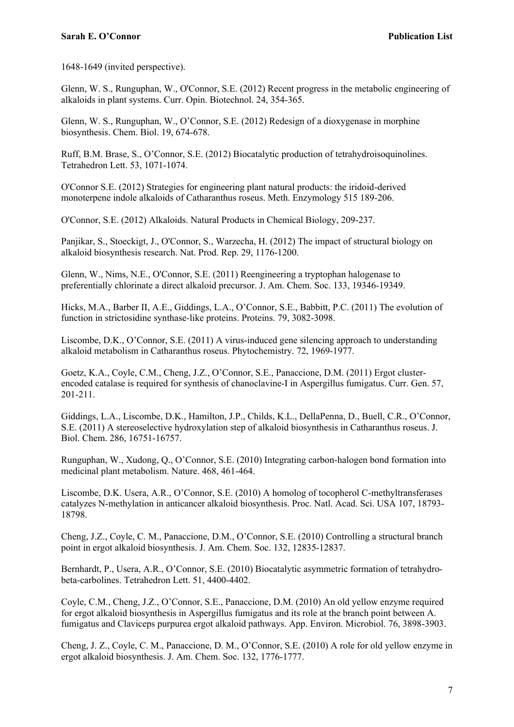1648-1649 (invited perspective).

Glenn, W. S., Runguphan, W., O'Connor, S.E. (2012) Recent progress in the metabolic engineering of alkaloids in plant systems. Curr. Opin. Biotechnol. 24, 354-365.

Glenn, W. S., Runguphan, W., O'Connor, S.E. (2012) Redesign of a dioxygenase in morphine biosynthesis. Chem. Biol. 19, 674-678.

Ruff, B.M. Brase, S., O'Connor, S.E. (2012) Biocatalytic production of tetrahydroisoquinolines. Tetrahedron Lett. 53, 1071-1074.

O'Connor S.E. (2012) Strategies for engineering plant natural products: the iridoid-derived monoterpene indole alkaloids of Catharanthus roseus. Meth. Enzymology 515 189-206.

O'Connor, S.E. (2012) Alkaloids. Natural Products in Chemical Biology, 209-237.

Panjikar, S., Stoeckigt, J., O'Connor, S., Warzecha, H. (2012) The impact of structural biology on alkaloid biosynthesis research. Nat. Prod. Rep. 29, 1176-1200.

Glenn, W., Nims, N.E., O'Connor, S.E. (2011) Reengineering a tryptophan halogenase to preferentially chlorinate a direct alkaloid precursor. J. Am. Chem. Soc. 133, 19346-19349.

Hicks, M.A., Barber II, A.E., Giddings, L.A., O'Connor, S.E., Babbitt, P.C. (2011) The evolution of function in strictosidine synthase-like proteins. Proteins. 79, 3082-3098.

Liscombe, D.K., O'Connor, S.E. (2011) A virus-induced gene silencing approach to understanding alkaloid metabolism in Catharanthus roseus. Phytochemistry. 72, 1969-1977.

Goetz, K.A., Coyle, C.M., Cheng, J.Z., O'Connor, S.E., Panaccione, D.M. (2011) Ergot clusterencoded catalase is required for synthesis of chanoclavine-I in Aspergillus fumigatus. Curr. Gen. 57, 201-211.

Giddings, L.A., Liscombe, D.K., Hamilton, J.P., Childs, K.L., DellaPenna, D., Buell, C.R., O'Connor, S.E. (2011) A stereoselective hydroxylation step of alkaloid biosynthesis in Catharanthus roseus. J. Biol. Chem. 286, 16751-16757.

Runguphan, W., Xudong, Q., O'Connor, S.E. (2010) Integrating carbon-halogen bond formation into medicinal plant metabolism. Nature. 468, 461-464.

Liscombe, D.K. Usera, A.R., O'Connor, S.E. (2010) A homolog of tocopherol C-methyltransferases catalyzes N-methylation in anticancer alkaloid biosynthesis. Proc. Natl. Acad. Sci. USA 107, 18793- 18798.

Cheng, J.Z., Coyle, C. M., Panaccione, D.M., O'Connor, S.E. (2010) Controlling a structural branch point in ergot alkaloid biosynthesis. J. Am. Chem. Soc. 132, 12835-12837.

Bernhardt, P., Usera, A.R., O'Connor, S.E. (2010) Biocatalytic asymmetric formation of tetrahydrobeta-carbolines. Tetrahedron Lett. 51, 4400-4402.

Coyle, C.M., Cheng, J.Z., O'Connor, S.E., Panaccione, D.M. (2010) An old yellow enzyme required for ergot alkaloid biosynthesis in Aspergillus fumigatus and its role at the branch point between A. fumigatus and Claviceps purpurea ergot alkaloid pathways. App. Environ. Microbiol. 76, 3898-3903.

Cheng, J. Z., Coyle, C. M., Panaccione, D. M., O'Connor, S.E. (2010) A role for old yellow enzyme in ergot alkaloid biosynthesis. J. Am. Chem. Soc. 132, 1776-1777.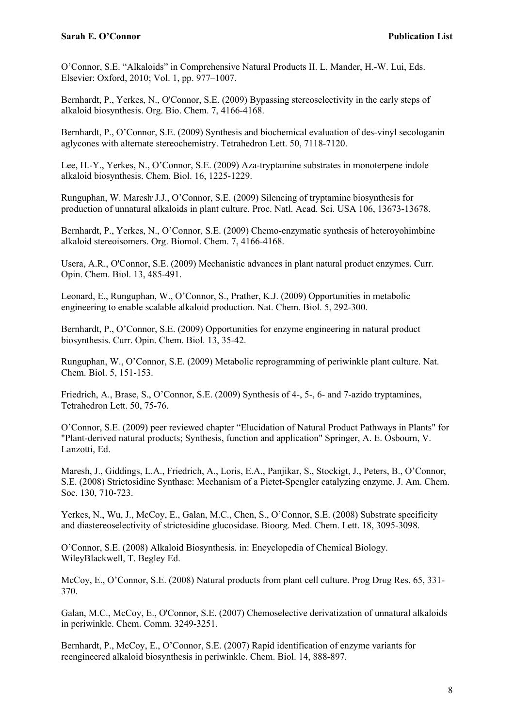O'Connor, S.E. "Alkaloids" in Comprehensive Natural Products II. L. Mander, H.-W. Lui, Eds. Elsevier: Oxford, 2010; Vol. 1, pp. 977–1007.

Bernhardt, P., Yerkes, N., O'Connor, S.E. (2009) Bypassing stereoselectivity in the early steps of alkaloid biosynthesis. Org. Bio. Chem. 7, 4166-4168.

Bernhardt, P., O'Connor, S.E. (2009) Synthesis and biochemical evaluation of des-vinyl secologanin aglycones with alternate stereochemistry. Tetrahedron Lett. 50, 7118-7120.

Lee, H.-Y., Yerkes, N., O'Connor, S.E. (2009) Aza-tryptamine substrates in monoterpene indole alkaloid biosynthesis. Chem. Biol. 16, 1225-1229.

Runguphan, W. Maresh, J.J., O'Connor, S.E. (2009) Silencing of tryptamine biosynthesis for production of unnatural alkaloids in plant culture. Proc. Natl. Acad. Sci. USA 106, 13673-13678.

Bernhardt, P., Yerkes, N., O'Connor, S.E. (2009) Chemo-enzymatic synthesis of heteroyohimbine alkaloid stereoisomers. Org. Biomol. Chem. 7, 4166-4168.

Usera, A.R., O'Connor, S.E. (2009) Mechanistic advances in plant natural product enzymes. Curr. Opin. Chem. Biol. 13, 485-491.

Leonard, E., Runguphan, W., O'Connor, S., Prather, K.J. (2009) Opportunities in metabolic engineering to enable scalable alkaloid production. Nat. Chem. Biol. 5, 292-300.

Bernhardt, P., O'Connor, S.E. (2009) Opportunities for enzyme engineering in natural product biosynthesis. Curr. Opin. Chem. Biol. 13, 35-42.

Runguphan, W., O'Connor, S.E. (2009) Metabolic reprogramming of periwinkle plant culture. Nat. Chem. Biol. 5, 151-153.

Friedrich, A., Brase, S., O'Connor, S.E. (2009) Synthesis of 4-, 5-, 6- and 7-azido tryptamines, Tetrahedron Lett. 50, 75-76.

O'Connor, S.E. (2009) peer reviewed chapter "Elucidation of Natural Product Pathways in Plants" for "Plant-derived natural products; Synthesis, function and application" Springer, A. E. Osbourn, V. Lanzotti, Ed.

Maresh, J., Giddings, L.A., Friedrich, A., Loris, E.A., Panjikar, S., Stockigt, J., Peters, B., O'Connor, S.E. (2008) Strictosidine Synthase: Mechanism of a Pictet-Spengler catalyzing enzyme. J. Am. Chem. Soc. 130, 710-723.

Yerkes, N., Wu, J., McCoy, E., Galan, M.C., Chen, S., O'Connor, S.E. (2008) Substrate specificity and diastereoselectivity of strictosidine glucosidase. Bioorg. Med. Chem. Lett. 18, 3095-3098.

O'Connor, S.E. (2008) Alkaloid Biosynthesis. in: Encyclopedia of Chemical Biology. WileyBlackwell, T. Begley Ed.

McCoy, E., O'Connor, S.E. (2008) Natural products from plant cell culture. Prog Drug Res. 65, 331- 370.

Galan, M.C., McCoy, E., O'Connor, S.E. (2007) Chemoselective derivatization of unnatural alkaloids in periwinkle. Chem. Comm. 3249-3251.

Bernhardt, P., McCoy, E., O'Connor, S.E. (2007) Rapid identification of enzyme variants for reengineered alkaloid biosynthesis in periwinkle. Chem. Biol. 14, 888-897.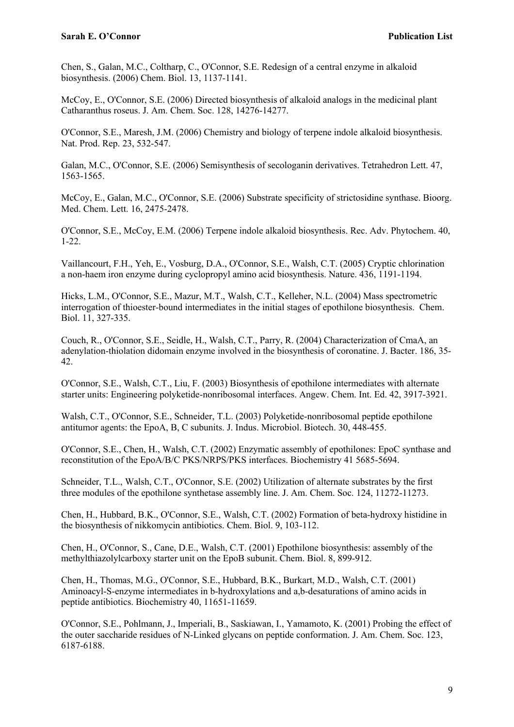Chen, S., Galan, M.C., Coltharp, C., O'Connor, S.E. Redesign of a central enzyme in alkaloid biosynthesis. (2006) Chem. Biol. 13, 1137-1141.

McCoy, E., O'Connor, S.E. (2006) Directed biosynthesis of alkaloid analogs in the medicinal plant Catharanthus roseus. J. Am. Chem. Soc. 128, 14276-14277.

O'Connor, S.E., Maresh, J.M. (2006) Chemistry and biology of terpene indole alkaloid biosynthesis. Nat. Prod. Rep. 23, 532-547.

Galan, M.C., O'Connor, S.E. (2006) Semisynthesis of secologanin derivatives. Tetrahedron Lett. 47, 1563-1565.

McCoy, E., Galan, M.C., O'Connor, S.E. (2006) Substrate specificity of strictosidine synthase. Bioorg. Med. Chem. Lett. 16, 2475-2478.

O'Connor, S.E., McCoy, E.M. (2006) Terpene indole alkaloid biosynthesis. Rec. Adv. Phytochem. 40, 1-22.

Vaillancourt, F.H., Yeh, E., Vosburg, D.A., O'Connor, S.E., Walsh, C.T. (2005) Cryptic chlorination a non-haem iron enzyme during cyclopropyl amino acid biosynthesis. Nature. 436, 1191-1194.

Hicks, L.M., O'Connor, S.E., Mazur, M.T., Walsh, C.T., Kelleher, N.L. (2004) Mass spectrometric interrogation of thioester-bound intermediates in the initial stages of epothilone biosynthesis. Chem. Biol. 11, 327-335.

Couch, R., O'Connor, S.E., Seidle, H., Walsh, C.T., Parry, R. (2004) Characterization of CmaA, an adenylation-thiolation didomain enzyme involved in the biosynthesis of coronatine. J. Bacter. 186, 35- 42.

O'Connor, S.E., Walsh, C.T., Liu, F. (2003) Biosynthesis of epothilone intermediates with alternate starter units: Engineering polyketide-nonribosomal interfaces. Angew. Chem. Int. Ed. 42, 3917-3921.

Walsh, C.T., O'Connor, S.E., Schneider, T.L. (2003) Polyketide-nonribosomal peptide epothilone antitumor agents: the EpoA, B, C subunits. J. Indus. Microbiol. Biotech. 30, 448-455.

O'Connor, S.E., Chen, H., Walsh, C.T. (2002) Enzymatic assembly of epothilones: EpoC synthase and reconstitution of the EpoA/B/C PKS/NRPS/PKS interfaces. Biochemistry 41 5685-5694.

Schneider, T.L., Walsh, C.T., O'Connor, S.E. (2002) Utilization of alternate substrates by the first three modules of the epothilone synthetase assembly line. J. Am. Chem. Soc. 124, 11272-11273.

Chen, H., Hubbard, B.K., O'Connor, S.E., Walsh, C.T. (2002) Formation of beta-hydroxy histidine in the biosynthesis of nikkomycin antibiotics. Chem. Biol. 9, 103-112.

Chen, H., O'Connor, S., Cane, D.E., Walsh, C.T. (2001) Epothilone biosynthesis: assembly of the methylthiazolylcarboxy starter unit on the EpoB subunit. Chem. Biol. 8, 899-912.

Chen, H., Thomas, M.G., O'Connor, S.E., Hubbard, B.K., Burkart, M.D., Walsh, C.T. (2001) Aminoacyl-S-enzyme intermediates in b-hydroxylations and a,b-desaturations of amino acids in peptide antibiotics. Biochemistry 40, 11651-11659.

O'Connor, S.E., Pohlmann, J., Imperiali, B., Saskiawan, I., Yamamoto, K. (2001) Probing the effect of the outer saccharide residues of N-Linked glycans on peptide conformation. J. Am. Chem. Soc. 123, 6187-6188.